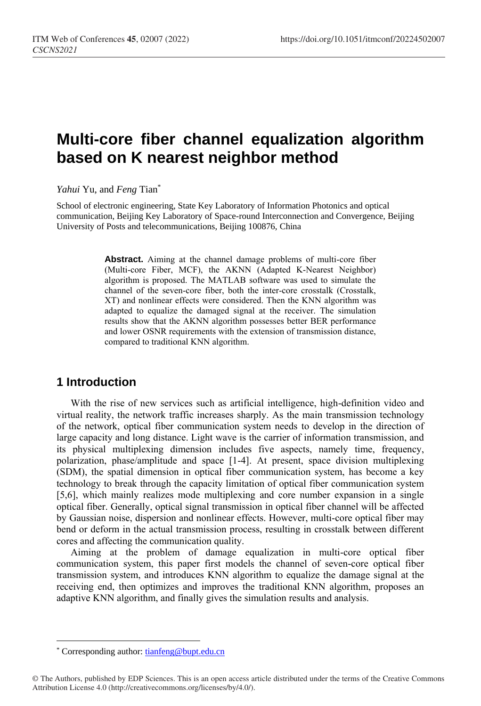# **Multi-core fiber channel equalization algorithm based on K nearest neighbor method**

*Yahui* Yu, and *Feng* Tian\*

School of electronic engineering, State Key Laboratory of Information Photonics and optical communication, Beijing Key Laboratory of Space-round Interconnection and Convergence, Beijing University of Posts and telecommunications, Beijing 100876, China

> **Abstract.** Aiming at the channel damage problems of multi-core fiber (Multi-core Fiber, MCF), the AKNN (Adapted K-Nearest Neighbor) algorithm is proposed. The MATLAB software was used to simulate the channel of the seven-core fiber, both the inter-core crosstalk (Crosstalk, XT) and nonlinear effects were considered. Then the KNN algorithm was adapted to equalize the damaged signal at the receiver. The simulation results show that the AKNN algorithm possesses better BER performance and lower OSNR requirements with the extension of transmission distance, compared to traditional KNN algorithm.

## **1 Introduction**

With the rise of new services such as artificial intelligence, high-definition video and virtual reality, the network traffic increases sharply. As the main transmission technology of the network, optical fiber communication system needs to develop in the direction of large capacity and long distance. Light wave is the carrier of information transmission, and its physical multiplexing dimension includes five aspects, namely time, frequency, polarization, phase/amplitude and space [1-4]. At present, space division multiplexing (SDM), the spatial dimension in optical fiber communication system, has become a key technology to break through the capacity limitation of optical fiber communication system [5,6], which mainly realizes mode multiplexing and core number expansion in a single optical fiber. Generally, optical signal transmission in optical fiber channel will be affected by Gaussian noise, dispersion and nonlinear effects. However, multi-core optical fiber may bend or deform in the actual transmission process, resulting in crosstalk between different cores and affecting the communication quality.

Aiming at the problem of damage equalization in multi-core optical fiber communication system, this paper first models the channel of seven-core optical fiber transmission system, and introduces KNN algorithm to equalize the damage signal at the receiving end, then optimizes and improves the traditional KNN algorithm, proposes an adaptive KNN algorithm, and finally gives the simulation results and analysis.

 $\overline{a}$ 

<sup>\*</sup> Corresponding author: [tianfeng@bupt.edu.cn](mailto:tianfeng@bupt.edu.cn)

<sup>©</sup> The Authors, published by EDP Sciences. This is an open access article distributed under the terms of the Creative Commons Attribution License 4.0 (http://creativecommons.org/licenses/by/4.0/).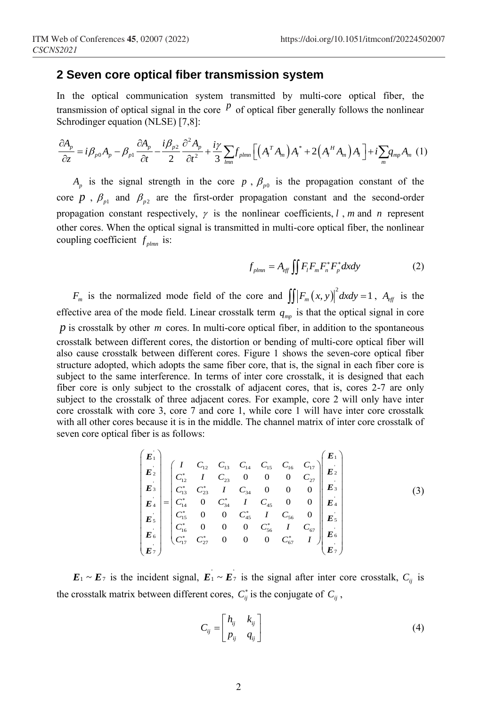### **2 Seven core optical fiber transmission system**

In the optical communication system transmitted by multi-core optical fiber, the transmission of optical signal in the core <sup>*p*</sup> of optical fiber generally follows the nonlinear<br>
Schrodinger equation (NLSE) [7,8]:<br>  $\frac{\partial A_p}{\partial t} = i \beta_{p0} A_p - \beta_{p1} \frac{\partial A_p}{\partial t} - \frac{i \beta_{p2}}{r} \frac{\partial^2 A_p}{\partial t} + \frac{i \gamma}{r} \sum f_{nlmn} \left[ \$ Schrodinger equation (NLSE) [7,8]: The optical communication system transmitted by multi-core optical fiber, the<br>ansmission of optical signal in the core  $P$  of optical fiber generally follows the nonlinear<br>chrodinger equation (NLSE) [7,8]:<br> $\frac{\partial A_p}{\partial z} = i\$ 

transmission of optical signal in the core <sup>*P*</sup> of optical fiber generally follows the nonlinear  
Schrodinger equation (NLSE) [7,8]:  

$$
\frac{\partial A_p}{\partial z} = i\beta_{p0}A_p - \beta_{p1}\frac{\partial A_p}{\partial t} - \frac{i\beta_{p2}}{2}\frac{\partial^2 A_p}{\partial t^2} + \frac{iy}{3}\sum_{lmn} f_{plmn} \left[ \left( A_l^T A_m \right) A_l^* + 2 \left( A_l^H A_m \right) A_l \right] + i\sum_m q_{mp} A_m
$$
 (1)

 $A_p$  is the signal strength in the core p,  $\beta_{p0}$  is the propagation constant of the core  $p$ ,  $\beta_{p1}$  and  $\beta_{p2}$  are the first-order propagation constant and the second-order propagation constant respectively,  $\gamma$  is the nonlinear coefficients, *l*, *m* and *n* represent other cores. When the optical signal is transmitted in multi-core optical fiber, the nonlinear coupling coefficient  $f_{plmn}$  is:

$$
f_{plmn} = A_{eff} \iint F_i F_m F_n^* F_p^* dxdy \tag{2}
$$

*F*<sup>*m*</sup> is the normalized mode field of the core and  $\int \int \left| F_m(x, y) \right|^2 dxdy = 1$ ,  $A_{\text{eff}}$  is the effective area of the mode field. Linear crosstalk term  $q_{mp}$  is that the optical signal in core p is crosstalk by other m cores. In multi-core optical fiber, in addition to the spontaneous crosstalk between different cores, the distortion or bending of multi-core optical fiber will also cause crosstalk between different cores. Figure 1 shows the seven-core optical fiber structure adopted, which adopts the same fiber core, that is, the signal in each fiber core is subject to the same interference. In terms of inter core crosstalk, it is designed that each fiber core is only subject to the crosstalk of adjacent cores, that is, cores 2-7 are only subject to the crosstalk of three adjacent cores. For example, core 2 will only have inter core crosstalk with core 3, core 7 and core 1, while core 1 will have inter core crosstalk with all other cores because it is in the middle. The channel matrix of inter core crosstalk of seven core optical fiber is as follows:

$$
\begin{pmatrix}\nE_1 \\
E_2 \\
E_3 \\
E_4 \\
E_5 \\
E_6 \\
E_7\n\end{pmatrix} =\n\begin{pmatrix}\nI & C_{12} & C_{13} & C_{14} & C_{15} & C_{16} & C_{17} \\
C_{12}^* & I & C_{23} & 0 & 0 & 0 & C_{27} \\
C_{13}^* & C_{23}^* & I & C_{34} & 0 & 0 & 0 \\
C_{14}^* & 0 & C_{34}^* & I & C_{45} & 0 & 0 \\
C_{15}^* & 0 & 0 & C_{45}^* & I & C_{56} & 0 \\
C_{16}^* & 0 & 0 & 0 & C_{56}^* & I & C_{67} \\
C_{17}^* & C_{27}^* & 0 & 0 & 0 & C_{67}^* & I\n\end{pmatrix}\n\begin{pmatrix}\nE_1 \\
E_2 \\
E_3 \\
E_4 \\
E_5 \\
E_6 \\
E_7\n\end{pmatrix}
$$
\n(3)

 $E_1 \sim E_7$  is the incident signal,  $E_1 \sim E_7$  is the signal after inter core crosstalk,  $C_{ij}$  is the crosstalk matrix between different cores,  $C_{ij}^*$  is the conjugate of  $C_{ij}$ ,

$$
C_{ij} = \begin{bmatrix} h_{ij} & k_{ij} \\ p_{ij} & q_{ij} \end{bmatrix}
$$
 (4)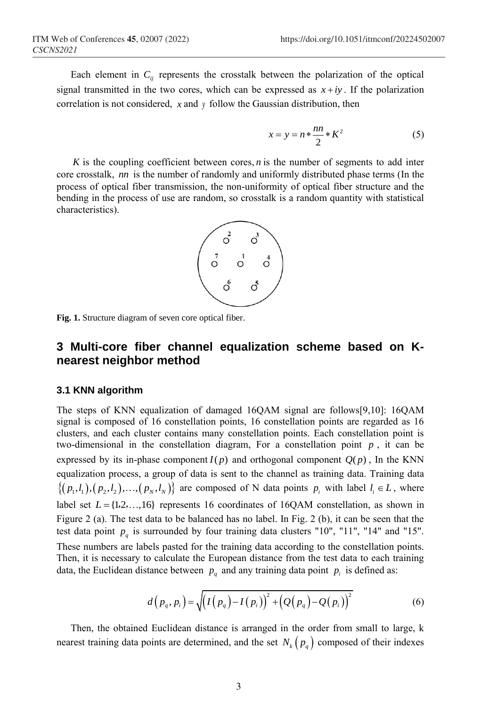Each element in  $C_{ij}$  represents the crosstalk between the polarization of the optical signal transmitted in the two cores, which can be expressed as  $x + iy$ . If the polarization correlation is not considered, *x* and *y* follow the Gaussian distribution, then

$$
x = y = n * \frac{nn}{2} * K^2 \tag{5}
$$

 $K$  is the coupling coefficient between cores,  $n$  is the number of segments to add inter core crosstalk, *nn* is the number of randomly and uniformly distributed phase terms (In the process of optical fiber transmission, the non-uniformity of optical fiber structure and the bending in the process of use are random, so crosstalk is a random quantity with statistical characteristics).



**Fig. 1.** Structure diagram of seven core optical fiber.

## **3 Multi-core fiber channel equalization scheme based on Knearest neighbor method**

#### **3.1 KNN algorithm**

The steps of KNN equalization of damaged 16QAM signal are follows[9,10]: 16QAM signal is composed of 16 constellation points, 16 constellation points are regarded as 16 clusters, and each cluster contains many constellation points. Each constellation point is two-dimensional in the constellation diagram, For a constellation point  $p$ , it can be expressed by its in-phase component  $I(p)$  and orthogonal component  $Q(p)$ , In the KNN equalization process, a group of data is sent to the channel as training data. Training data  $\{(p_1, l_1), (p_2, l_2), ..., (p_N, l_N)\}$  are composed of N data points  $p_i$  with label  $l_i \in L$ , where label set  $L = \{1, 2, ..., 16\}$  represents 16 coordinates of 16QAM constellation, as shown in Figure 2 (a). The test data to be balanced has no label. In Fig. 2 (b), it can be seen that the test data point  $p_q$  is surrounded by four training data clusters "10", "11", "14" and "15". These numbers are labels pasted for the training data according to the constellation points. Then, it is necessary to calculate the European distance from the test data to each training data, the Euclidean distance between  $p_q$  and any training data point  $p_i$  is defined as:

$$
d(p_q, p_i) = \sqrt{(I(p_q) - I(p_i))^{2} + (Q(p_q) - Q(p_i))^{2}}
$$
(6)

Then, the obtained Euclidean distance is arranged in the order from small to large, k nearest training data points are determined, and the set  $N_k(p_q)$  composed of their indexes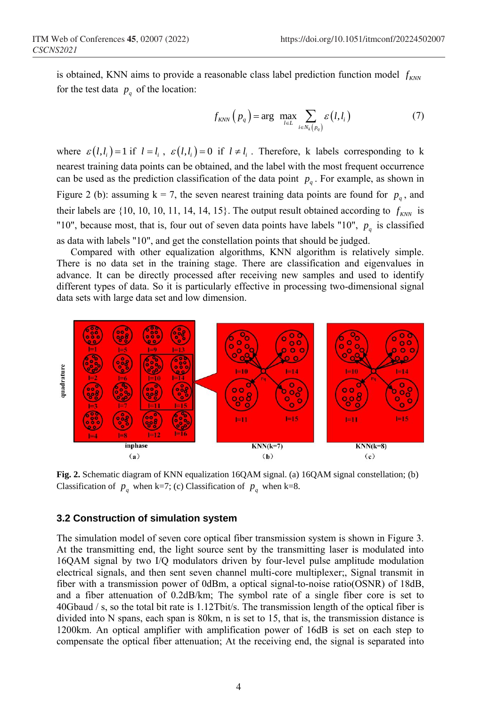is obtained, KNN aims to provide a reasonable class label prediction function model  $f_{kNN}$ for the test data  $p_q$  of the location:

$$
f_{KNN}\left(p_q\right) = \arg \ \max_{l \in L} \sum_{i \in N_k\left(p_q\right)} \varepsilon\left(l, l_i\right) \tag{7}
$$

where  $\varepsilon(l, l_i) = 1$  if  $l = l_i$ ,  $\varepsilon(l, l_i) = 0$  if  $l \neq l_i$ . Therefore, k labels corresponding to k nearest training data points can be obtained, and the label with the most frequent occurrence can be used as the prediction classification of the data point  $p_q$ . For example, as shown in Figure 2 (b): assuming  $k = 7$ , the seven nearest training data points are found for  $p_q$ , and their labels are  $\{10, 10, 10, 11, 14, 14, 15\}$ . The output result obtained according to  $f_{KNN}$  is "10", because most, that is, four out of seven data points have labels "10",  $p_q$  is classified as data with labels "10", and get the constellation points that should be judged.

Compared with other equalization algorithms, KNN algorithm is relatively simple. There is no data set in the training stage. There are classification and eigenvalues in advance. It can be directly processed after receiving new samples and used to identify different types of data. So it is particularly effective in processing two-dimensional signal data sets with large data set and low dimension.



**Fig. 2.** Schematic diagram of KNN equalization 16QAM signal. (a) 16QAM signal constellation; (b) Classification of  $p_q$  when k=7; (c) Classification of  $p_q$  when k=8.

#### **3.2 Construction of simulation system**

The simulation model of seven core optical fiber transmission system is shown in Figure 3. At the transmitting end, the light source sent by the transmitting laser is modulated into 16QAM signal by two I/Q modulators driven by four-level pulse amplitude modulation electrical signals, and then sent seven channel multi-core multiplexer;, Signal transmit in fiber with a transmission power of 0dBm, a optical signal-to-noise ratio(OSNR) of 18dB, and a fiber attenuation of 0.2dB/km; The symbol rate of a single fiber core is set to 40Gbaud / s, so the total bit rate is 1.12Tbit/s. The transmission length of the optical fiber is divided into N spans, each span is 80km, n is set to 15, that is, the transmission distance is 1200km. An optical amplifier with amplification power of 16dB is set on each step to compensate the optical fiber attenuation; At the receiving end, the signal is separated into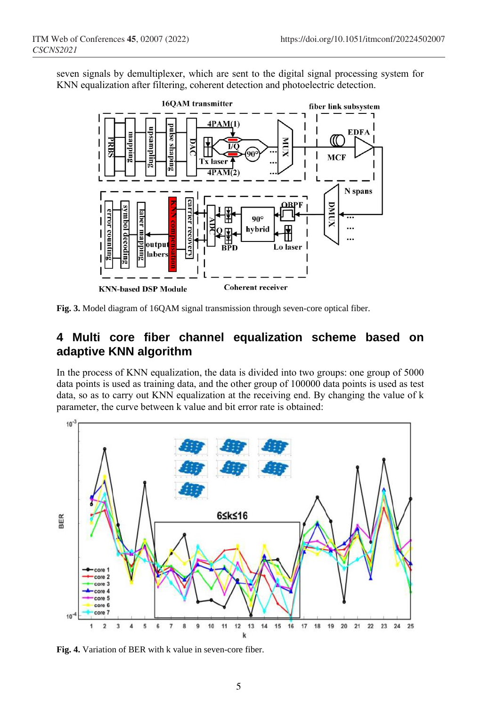seven signals by demultiplexer, which are sent to the digital signal processing system for KNN equalization after filtering, coherent detection and photoelectric detection.



**Fig. 3.** Model diagram of 16QAM signal transmission through seven-core optical fiber.

## **4 Multi core fiber channel equalization scheme based on adaptive KNN algorithm**

In the process of KNN equalization, the data is divided into two groups: one group of 5000 data points is used as training data, and the other group of 100000 data points is used as test data, so as to carry out KNN equalization at the receiving end. By changing the value of k parameter, the curve between k value and bit error rate is obtained:



**Fig. 4.** Variation of BER with k value in seven-core fiber.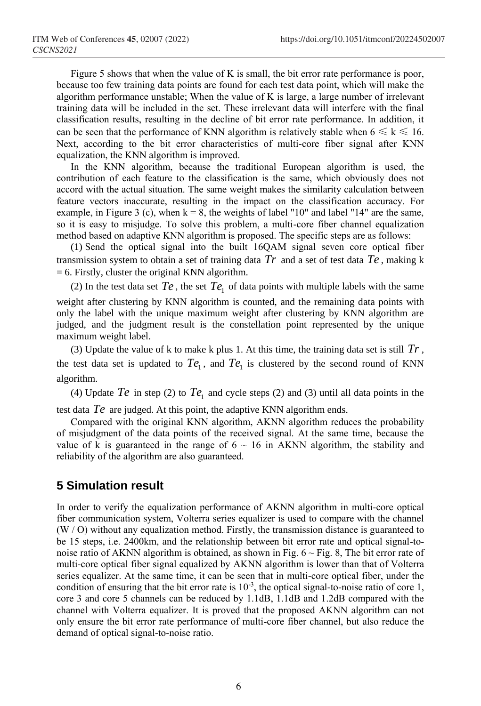Figure 5 shows that when the value of K is small, the bit error rate performance is poor, because too few training data points are found for each test data point, which will make the algorithm performance unstable; When the value of K is large, a large number of irrelevant training data will be included in the set. These irrelevant data will interfere with the final classification results, resulting in the decline of bit error rate performance. In addition, it can be seen that the performance of KNN algorithm is relatively stable when  $6 \le k \le 16$ . Next, according to the bit error characteristics of multi-core fiber signal after KNN equalization, the KNN algorithm is improved.

In the KNN algorithm, because the traditional European algorithm is used, the contribution of each feature to the classification is the same, which obviously does not accord with the actual situation. The same weight makes the similarity calculation between feature vectors inaccurate, resulting in the impact on the classification accuracy. For example, in Figure 3 (c), when  $k = 8$ , the weights of label "10" and label "14" are the same, so it is easy to misjudge. To solve this problem, a multi-core fiber channel equalization method based on adaptive KNN algorithm is proposed. The specific steps are as follows:

(1) Send the optical signal into the built 16QAM signal seven core optical fiber transmission system to obtain a set of training data *Tr* and a set of test data *Te* , making k  $= 6$ . Firstly, cluster the original KNN algorithm.

(2) In the test data set  $Te$ , the set  $Te_1$  of data points with multiple labels with the same

weight after clustering by KNN algorithm is counted, and the remaining data points with only the label with the unique maximum weight after clustering by KNN algorithm are judged, and the judgment result is the constellation point represented by the unique maximum weight label.

(3) Update the value of  $k$  to make  $k$  plus 1. At this time, the training data set is still  $Tr$ , the test data set is updated to  $Te_1$ , and  $Te_1$  is clustered by the second round of KNN algorithm.

(4) Update  $Te$  in step (2) to  $Te_1$  and cycle steps (2) and (3) until all data points in the test data *Te* are judged. At this point, the adaptive KNN algorithm ends.

Compared with the original KNN algorithm, AKNN algorithm reduces the probability of misjudgment of the data points of the received signal. At the same time, because the value of k is guaranteed in the range of  $6 \sim 16$  in AKNN algorithm, the stability and reliability of the algorithm are also guaranteed.

## **5 Simulation result**

In order to verify the equalization performance of AKNN algorithm in multi-core optical fiber communication system, Volterra series equalizer is used to compare with the channel (W / O) without any equalization method. Firstly, the transmission distance is guaranteed to be 15 steps, i.e. 2400km, and the relationship between bit error rate and optical signal-tonoise ratio of AKNN algorithm is obtained, as shown in Fig.  $6 \sim$  Fig. 8, The bit error rate of multi-core optical fiber signal equalized by AKNN algorithm is lower than that of Volterra series equalizer. At the same time, it can be seen that in multi-core optical fiber, under the condition of ensuring that the bit error rate is  $10^{-3}$ , the optical signal-to-noise ratio of core 1, core 3 and core 5 channels can be reduced by 1.1dB, 1.1dB and 1.2dB compared with the channel with Volterra equalizer. It is proved that the proposed AKNN algorithm can not only ensure the bit error rate performance of multi-core fiber channel, but also reduce the demand of optical signal-to-noise ratio.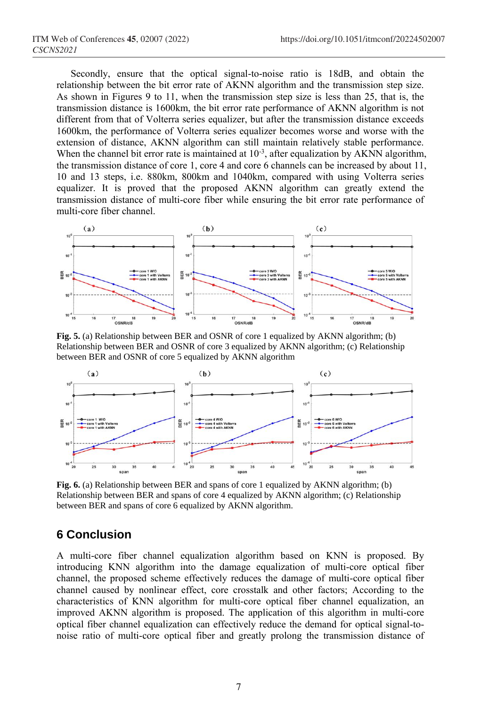Secondly, ensure that the optical signal-to-noise ratio is 18dB, and obtain the relationship between the bit error rate of AKNN algorithm and the transmission step size. As shown in Figures 9 to 11, when the transmission step size is less than 25, that is, the transmission distance is 1600km, the bit error rate performance of AKNN algorithm is not different from that of Volterra series equalizer, but after the transmission distance exceeds 1600km, the performance of Volterra series equalizer becomes worse and worse with the extension of distance, AKNN algorithm can still maintain relatively stable performance. When the channel bit error rate is maintained at  $10^{-3}$ , after equalization by AKNN algorithm, the transmission distance of core 1, core 4 and core 6 channels can be increased by about 11, 10 and 13 steps, i.e. 880km, 800km and 1040km, compared with using Volterra series equalizer. It is proved that the proposed AKNN algorithm can greatly extend the transmission distance of multi-core fiber while ensuring the bit error rate performance of multi-core fiber channel.



**Fig. 5.** (a) Relationship between BER and OSNR of core 1 equalized by AKNN algorithm; (b) Relationship between BER and OSNR of core 3 equalized by AKNN algorithm; (c) Relationship between BER and OSNR of core 5 equalized by AKNN algorithm



**Fig. 6.** (a) Relationship between BER and spans of core 1 equalized by AKNN algorithm; (b) Relationship between BER and spans of core 4 equalized by AKNN algorithm; (c) Relationship between BER and spans of core 6 equalized by AKNN algorithm.

## **6 Conclusion**

A multi-core fiber channel equalization algorithm based on KNN is proposed. By introducing KNN algorithm into the damage equalization of multi-core optical fiber channel, the proposed scheme effectively reduces the damage of multi-core optical fiber channel caused by nonlinear effect, core crosstalk and other factors; According to the characteristics of KNN algorithm for multi-core optical fiber channel equalization, an improved AKNN algorithm is proposed. The application of this algorithm in multi-core optical fiber channel equalization can effectively reduce the demand for optical signal-tonoise ratio of multi-core optical fiber and greatly prolong the transmission distance of